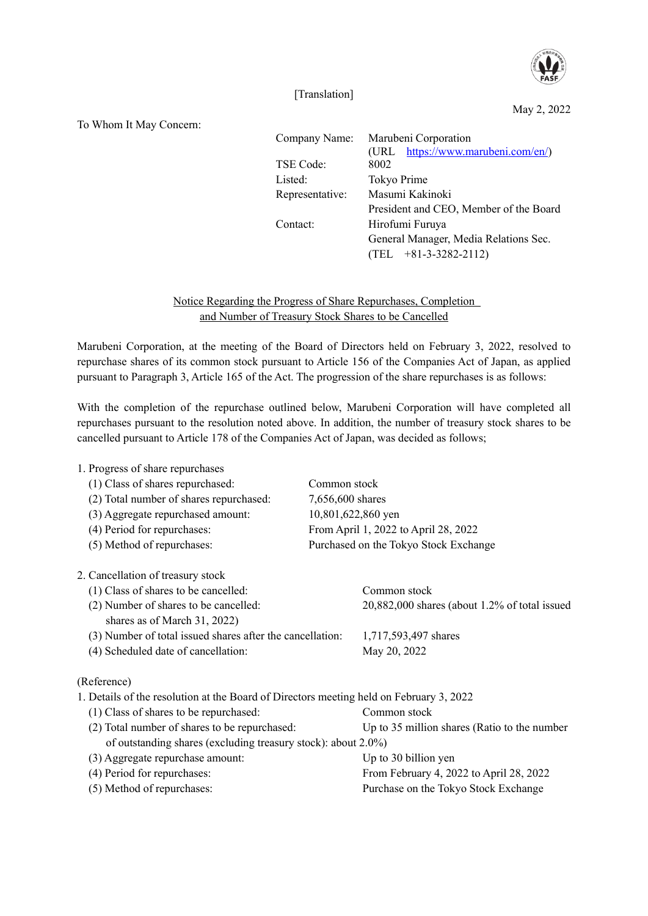

[Translation]

May 2, 2022

To Whom It May Concern:

| Company Name:   | Marubeni Corporation                   |
|-----------------|----------------------------------------|
|                 | (URL https://www.marubeni.com/en/)     |
| TSE Code:       | 8002                                   |
| Listed:         | Tokyo Prime                            |
| Representative: | Masumi Kakinoki                        |
|                 | President and CEO, Member of the Board |
| Contact:        | Hirofumi Furuya                        |
|                 | General Manager, Media Relations Sec.  |
|                 | $(TEL + 81-3-3282-2112)$               |
|                 |                                        |

Notice Regarding the Progress of Share Repurchases, Completion and Number of Treasury Stock Shares to be Cancelled

Marubeni Corporation, at the meeting of the Board of Directors held on February 3, 2022, resolved to repurchase shares of its common stock pursuant to Article 156 of the Companies Act of Japan, as applied pursuant to Paragraph 3, Article 165 of the Act. The progression of the share repurchases is as follows:

With the completion of the repurchase outlined below, Marubeni Corporation will have completed all repurchases pursuant to the resolution noted above. In addition, the number of treasury stock shares to be cancelled pursuant to Article 178 of the Companies Act of Japan, was decided as follows;

| 1. Progress of share repurchases                                                        |                                               |
|-----------------------------------------------------------------------------------------|-----------------------------------------------|
| (1) Class of shares repurchased:                                                        | Common stock                                  |
| (2) Total number of shares repurchased:                                                 | 7,656,600 shares                              |
| (3) Aggregate repurchased amount:                                                       | 10,801,622,860 yen                            |
| (4) Period for repurchases:                                                             | From April 1, 2022 to April 28, 2022          |
| (5) Method of repurchases:                                                              | Purchased on the Tokyo Stock Exchange         |
| 2. Cancellation of treasury stock                                                       |                                               |
| (1) Class of shares to be cancelled:                                                    | Common stock                                  |
| (2) Number of shares to be cancelled:<br>shares as of March 31, 2022)                   | 20,882,000 shares (about 1.2% of total issued |
| (3) Number of total issued shares after the cancellation:                               | 1,717,593,497 shares                          |
| (4) Scheduled date of cancellation:                                                     | May 20, 2022                                  |
| (Reference)                                                                             |                                               |
| 1. Details of the resolution at the Board of Directors meeting held on February 3, 2022 |                                               |
| (1) Class of shares to be repurchased:                                                  | Common stock                                  |
| (2) Total number of shares to be repurchased:                                           | Up to 35 million shares (Ratio to the number  |
| of outstanding shares (excluding treasury stock): about 2.0%)                           |                                               |
| (3) Aggregate repurchase amount:                                                        | Up to 30 billion yen                          |
| (4) Period for repurchases:                                                             | From February 4, 2022 to April 28, 2022       |
| (5) Method of repurchases:                                                              | Purchase on the Tokyo Stock Exchange          |